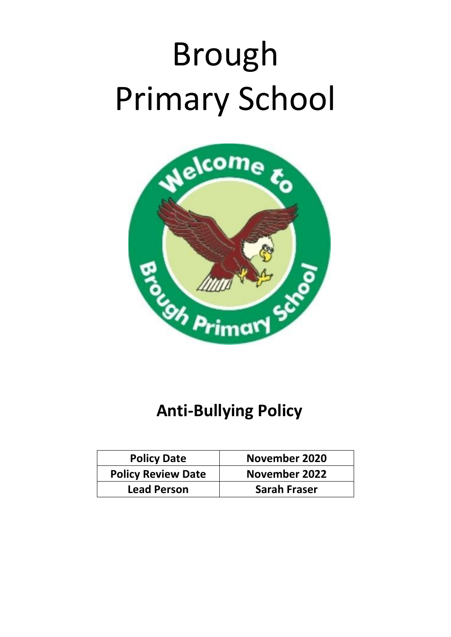# Brough Primary School



# **Anti-Bullying Policy**

| <b>Policy Date</b>        | November 2020        |
|---------------------------|----------------------|
| <b>Policy Review Date</b> | <b>November 2022</b> |
| <b>Lead Person</b>        | <b>Sarah Fraser</b>  |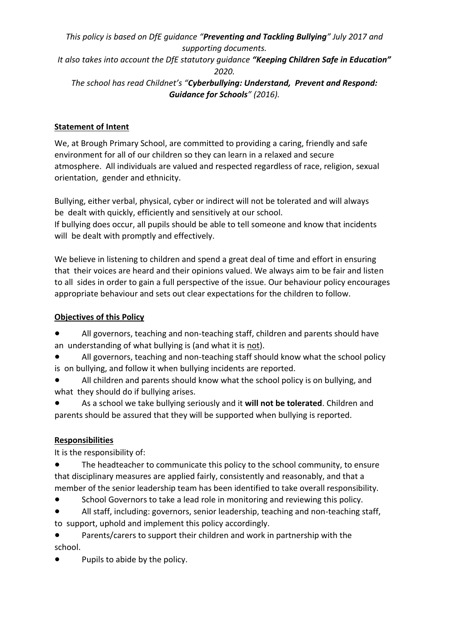*This policy is based on DfE guidance "Preventing and Tackling Bullying" July 2017 and supporting documents.* 

*It also takes into account the DfE statutory guidance "Keeping Children Safe in Education" 2020.* 

*The school has read Childnet's "Cyberbullying: Understand, Prevent and Respond: Guidance for Schools" (2016).* 

# **Statement of Intent**

We, at Brough Primary School, are committed to providing a caring, friendly and safe environment for all of our children so they can learn in a relaxed and secure atmosphere. All individuals are valued and respected regardless of race, religion, sexual orientation, gender and ethnicity.

Bullying, either verbal, physical, cyber or indirect will not be tolerated and will always be dealt with quickly, efficiently and sensitively at our school.

If bullying does occur, all pupils should be able to tell someone and know that incidents will be dealt with promptly and effectively.

We believe in listening to children and spend a great deal of time and effort in ensuring that their voices are heard and their opinions valued. We always aim to be fair and listen to all sides in order to gain a full perspective of the issue. Our behaviour policy encourages appropriate behaviour and sets out clear expectations for the children to follow.

#### **Objectives of this Policy**

- All governors, teaching and non-teaching staff, children and parents should have an understanding of what bullying is (and what it is not).
- All governors, teaching and non-teaching staff should know what the school policy is on bullying, and follow it when bullying incidents are reported.
- All children and parents should know what the school policy is on bullying, and what they should do if bullying arises.
- As a school we take bullying seriously and it **will not be tolerated**. Children and parents should be assured that they will be supported when bullying is reported.

# **Responsibilities**

It is the responsibility of:

● The headteacher to communicate this policy to the school community, to ensure that disciplinary measures are applied fairly, consistently and reasonably, and that a member of the senior leadership team has been identified to take overall responsibility.

- School Governors to take a lead role in monitoring and reviewing this policy.
- All staff, including: governors, senior leadership, teaching and non-teaching staff, to support, uphold and implement this policy accordingly.

● Parents/carers to support their children and work in partnership with the school.

Pupils to abide by the policy.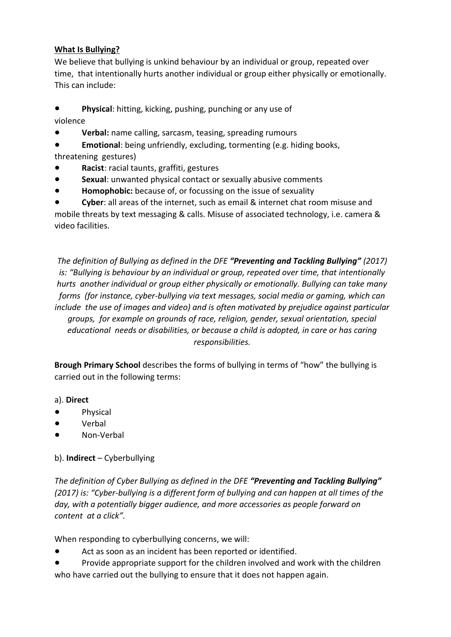#### **What Is Bullying?**

We believe that bullying is unkind behaviour by an individual or group, repeated over time, that intentionally hurts another individual or group either physically or emotionally. This can include:

● **Physical**: hitting, kicking, pushing, punching or any use of

violence

- **Verbal:** name calling, sarcasm, teasing, spreading rumours
- **Emotional**: being unfriendly, excluding, tormenting (e.g. hiding books,
- threatening gestures)
- **Racist**: racial taunts, graffiti, gestures
- **Sexual**: unwanted physical contact or sexually abusive comments
- Homophobic: because of, or focussing on the issue of sexuality

**Cyber:** all areas of the internet, such as email & internet chat room misuse and mobile threats by text messaging & calls. Misuse of associated technology, i.e. camera & video facilities.

*The definition of Bullying as defined in the DFE "Preventing and Tackling Bullying" (2017) is: "Bullying is behaviour by an individual or group, repeated over time, that intentionally hurts another individual or group either physically or emotionally. Bullying can take many forms (for instance, cyber-bullying via text messages, social media or gaming, which can include the use of images and video) and is often motivated by prejudice against particular groups, for example on grounds of race, religion, gender, sexual orientation, special educational needs or disabilities, or because a child is adopted, in care or has caring responsibilities.* 

**Brough Primary School** describes the forms of bullying in terms of "how" the bullying is carried out in the following terms:

#### a). **Direct**

- Physical
- Verbal
- Non-Verbal

# b). **Indirect** – Cyberbullying

*The definition of Cyber Bullying as defined in the DFE "Preventing and Tackling Bullying" (2017) is: "Cyber-bullying is a different form of bullying and can happen at all times of the day, with a potentially bigger audience, and more accessories as people forward on content at a click".* 

When responding to cyberbullying concerns, we will:

- Act as soon as an incident has been reported or identified.
- Provide appropriate support for the children involved and work with the children who have carried out the bullying to ensure that it does not happen again.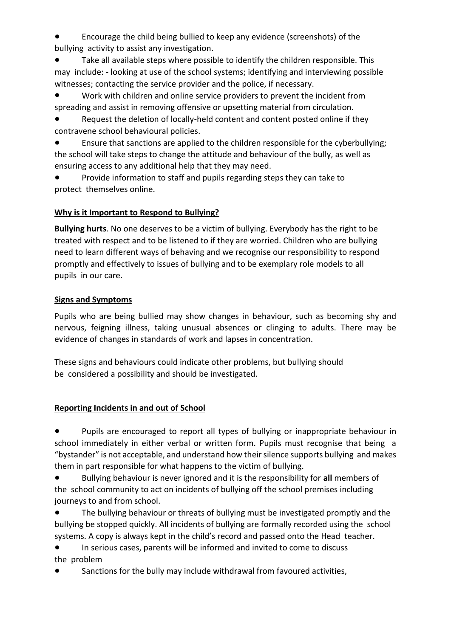Encourage the child being bullied to keep any evidence (screenshots) of the bullying activity to assist any investigation.

Take all available steps where possible to identify the children responsible. This may include: - looking at use of the school systems; identifying and interviewing possible witnesses; contacting the service provider and the police, if necessary.

Work with children and online service providers to prevent the incident from spreading and assist in removing offensive or upsetting material from circulation.

● Request the deletion of locally-held content and content posted online if they contravene school behavioural policies.

● Ensure that sanctions are applied to the children responsible for the cyberbullying; the school will take steps to change the attitude and behaviour of the bully, as well as ensuring access to any additional help that they may need.

Provide information to staff and pupils regarding steps they can take to protect themselves online.

# **Why is it Important to Respond to Bullying?**

**Bullying hurts**. No one deserves to be a victim of bullying. Everybody has the right to be treated with respect and to be listened to if they are worried. Children who are bullying need to learn different ways of behaving and we recognise our responsibility to respond promptly and effectively to issues of bullying and to be exemplary role models to all pupils in our care.

# **Signs and Symptoms**

Pupils who are being bullied may show changes in behaviour, such as becoming shy and nervous, feigning illness, taking unusual absences or clinging to adults. There may be evidence of changes in standards of work and lapses in concentration.

These signs and behaviours could indicate other problems, but bullying should be considered a possibility and should be investigated.

# **Reporting Incidents in and out of School**

● Pupils are encouraged to report all types of bullying or inappropriate behaviour in school immediately in either verbal or written form. Pupils must recognise that being a "bystander" is not acceptable, and understand how their silence supports bullying and makes them in part responsible for what happens to the victim of bullying.

● Bullying behaviour is never ignored and it is the responsibility for **all** members of the school community to act on incidents of bullying off the school premises including journeys to and from school.

● The bullying behaviour or threats of bullying must be investigated promptly and the bullying be stopped quickly. All incidents of bullying are formally recorded using the school systems. A copy is always kept in the child's record and passed onto the Head teacher.

● In serious cases, parents will be informed and invited to come to discuss the problem

Sanctions for the bully may include withdrawal from favoured activities,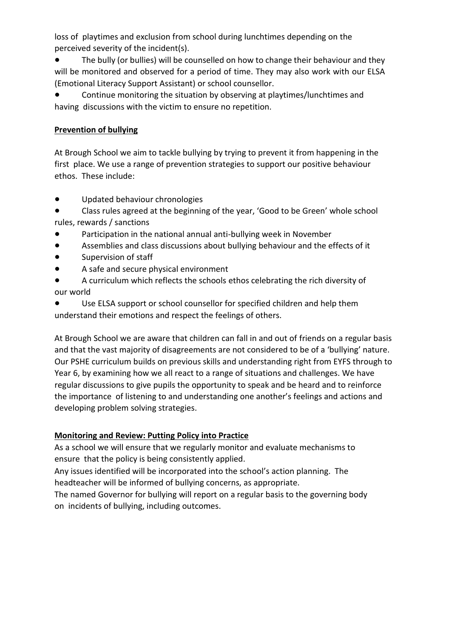loss of playtimes and exclusion from school during lunchtimes depending on the perceived severity of the incident(s).

The bully (or bullies) will be counselled on how to change their behaviour and they will be monitored and observed for a period of time. They may also work with our ELSA (Emotional Literacy Support Assistant) or school counsellor.

Continue monitoring the situation by observing at playtimes/lunchtimes and having discussions with the victim to ensure no repetition.

#### **Prevention of bullying**

At Brough School we aim to tackle bullying by trying to prevent it from happening in the first place. We use a range of prevention strategies to support our positive behaviour ethos. These include:

- Updated behaviour chronologies
- Class rules agreed at the beginning of the year, 'Good to be Green' whole school rules, rewards / sanctions
- Participation in the national annual anti-bullying week in November
- Assemblies and class discussions about bullying behaviour and the effects of it
- Supervision of staff
- A safe and secure physical environment
- A curriculum which reflects the schools ethos celebrating the rich diversity of our world
- Use ELSA support or school counsellor for specified children and help them understand their emotions and respect the feelings of others.

At Brough School we are aware that children can fall in and out of friends on a regular basis and that the vast majority of disagreements are not considered to be of a 'bullying' nature. Our PSHE curriculum builds on previous skills and understanding right from EYFS through to Year 6, by examining how we all react to a range of situations and challenges. We have regular discussions to give pupils the opportunity to speak and be heard and to reinforce the importance of listening to and understanding one another's feelings and actions and developing problem solving strategies.

#### **Monitoring and Review: Putting Policy into Practice**

As a school we will ensure that we regularly monitor and evaluate mechanisms to ensure that the policy is being consistently applied.

Any issues identified will be incorporated into the school's action planning. The headteacher will be informed of bullying concerns, as appropriate.

The named Governor for bullying will report on a regular basis to the governing body on incidents of bullying, including outcomes.